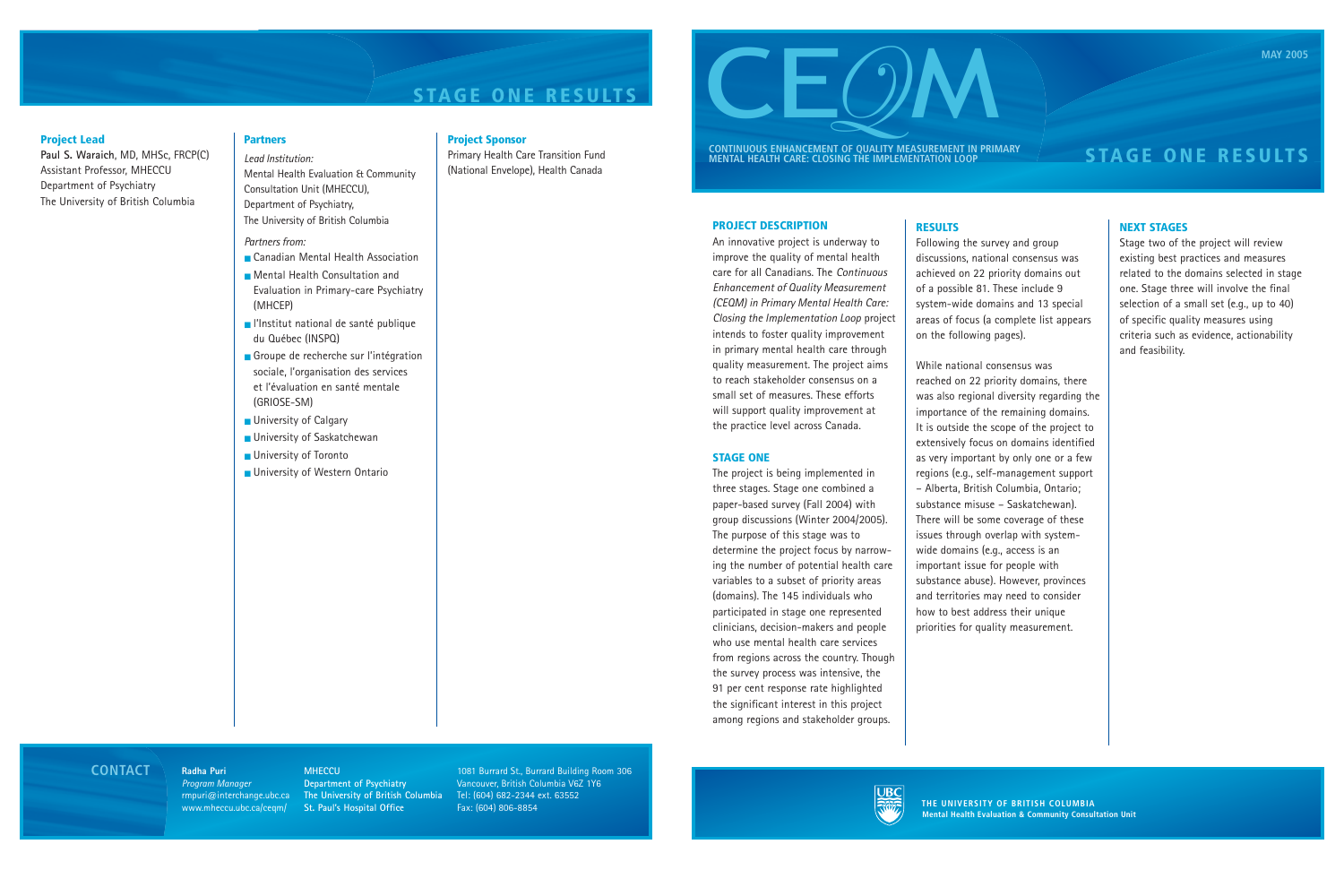## **Project Lead**

**Paul S. Waraich**, MD, MHSc, FRCP(C) Assistant Professor, MHECCU Department of Psychiatry The University of British Columbia

**Partners**

*Lead Institution:*

■ Canadian Mental Health Association

Mental Health Evaluation & Community Consultation Unit (MHECCU), Department of Psychiatry,

The University of British Columbia

- Mental Health Consultation and Evaluation in Primary-care Psychiatry (MHCEP)
- l'Institut national de santé publique du Québec (INSPQ)
- Groupe de recherche sur l'intégration sociale, l'organisation des services et l'évaluation en santé mentale (GRIOSE-SM)
- University of Calgary
- University of Saskatchewan
- University of Toronto
- University of Western Ontario

## *Partners from:*

# **Project Sponsor**

Primary Health Care Transition Fund (National Envelope), Health Canada

# **STAGE ONE RESULTS**

## **PROJECT DESCRIPTION**

An innovative project is underway to improve the quality of mental health care for all Canadians. The *Continuous Enhancement of Quality Measurement (CEQM) in Primary Mental Health Care: Closing the Implementation Loop* project intends to foster quality improvement in primary mental health care through quality measurement. The project aims to reach stakeholder consensus on a small set of measures. These efforts will support quality improvement at the practice level across Canada.

### **STAGE ONE**

The project is being implemented in three stages. Stage one combined a paper-based survey (Fall 2004) with group discussions (Winter 2004/2005). The purpose of this stage was to determine the project focus by narrowing the number of potential health care variables to a subset of priority areas (domains). The 145 individuals who participated in stage one represented clinicians, decision-makers and people who use mental health care services from regions across the country. Though the survey process was intensive, the 91 per cent response rate highlighted the significant interest in this project among regions and stakeholder groups.

1081 Burrard St., Burrard Building Room 306 Vancouver, British Columbia V6Z 1Y6 Tel: (604) 682-2344 ext. 63552 Fax: (604) 806-8854<br>Fax: (604) 806-8854 **THE UNIVERSITY OF BRITISH COLUMBIA** 



**RESULTS** 

## **CONTACT Radha Puri MHECCU**

Following the survey and group discussions, national consensus was achieved on 22 priority domains out of a possible 81. These include 9

system-wide domains and 13 special areas of focus (a complete list appears on the following pages). While national consensus was reached on 22 priority domains, there was also regional diversity regarding the importance of the remaining domains. It is outside the scope of the project to extensively focus on domains identified as very important by only one or a few regions (e.g., self-management support – Alberta, British Columbia, Ontario; substance misuse – Saskatchewan). There will be some coverage of these issues through overlap with systemwide domains (e.g., access is an important issue for people with substance abuse). However, provinces and territories may need to consider how to best address their unique priorities for quality measurement.

## **NEXT STAGES**

Stage two of the project will review existing best practices and measures related to the domains selected in stage one. Stage three will involve the final selection of a small set (e.g., up to 40) of specific quality measures using criteria such as evidence, actionability and feasibility.



# **STAGE ONE RESULTS**

**Radha Puri**

*Program Manager* rmpuri@interchange.ubc.ca www.mheccu.ubc.ca/ceqm/

**Department of Psychiatry The University of British Columbia St. Paul's Hospital Office**

**CONTINUOUS ENHANCEMENT OF QUALITY MEASUREMENT IN PRIMARY MENTAL HEALTH CARE: CLOSING THE IMPLEMENTATION LOOP**